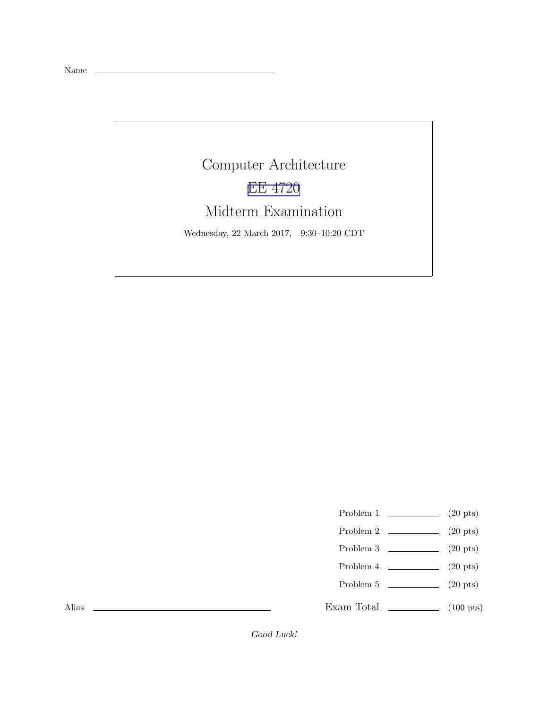Name

Computer Architecture [EE 4720](http://www.ece.lsu.edu/ee4720/) Midterm Examination Wednesday, 22 March 2017, 9:30–10:20 CDT

Problem 1  $\qquad \qquad$  (20 pts)

- Problem 2  $\qquad \qquad$  (20 pts)
- Problem 3  $\qquad \qquad (20 \text{ pts})$
- Problem 4  $\qquad \qquad (20 \text{ pts})$
- Problem 5 (20 pts)

Exam Total \_\_\_\_\_\_\_\_\_\_\_\_\_ (100 pts)

Alias

Good Luck!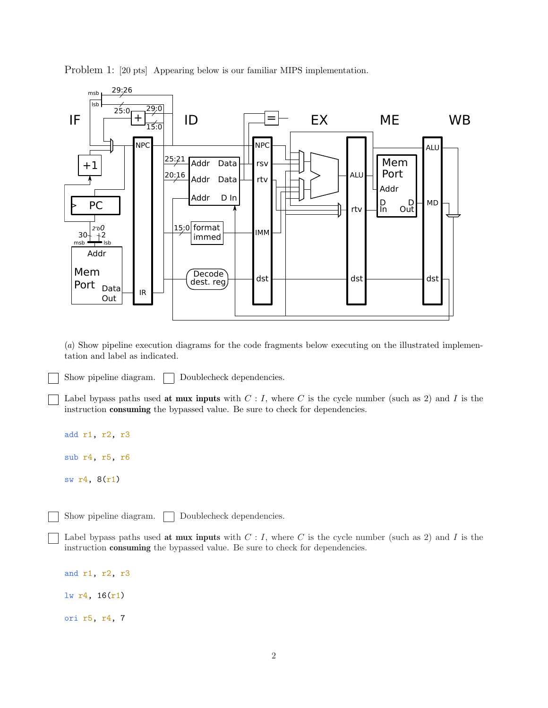Problem 1: [20 pts] Appearing below is our familiar MIPS implementation.



(*a*) Show pipeline execution diagrams for the code fragments below executing on the illustrated implementation and label as indicated.

Show pipeline diagram.  $\Box$  Doublecheck dependencies.

Label bypass paths used at mux inputs with  $C: I$ , where C is the cycle number (such as 2) and I is the instruction consuming the bypassed value. Be sure to check for dependencies.

```
add r1, r2, r3
sub r4, r5, r6
sw r4, 8(r1)
```
Show pipeline diagram.  $\Box$  Doublecheck dependencies.

Label bypass paths used at mux inputs with  $C: I$ , where C is the cycle number (such as 2) and I is the instruction consuming the bypassed value. Be sure to check for dependencies.

and r1, r2, r3 lw r4, 16(r1) ori r5, r4, 7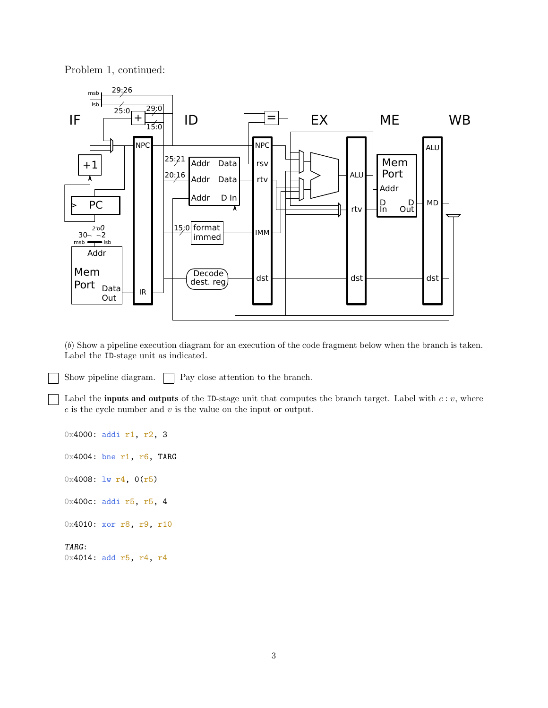Problem 1, continued:



(*b*) Show a pipeline execution diagram for an execution of the code fragment below when the branch is taken. Label the ID-stage unit as indicated.

Show pipeline diagram.  $\Box$  Pay close attention to the branch.

Label the **inputs and outputs** of the ID-stage unit that computes the branch target. Label with  $c : v$ , where  $c$  is the cycle number and  $v$  is the value on the input or output.

0x4000: addi r1, r2, 3 0x4004: bne r1, r6, TARG  $0x4008: 1w r4, 0(r5)$ 0x400c: addi r5, r5, 4 0x4010: xor r8, r9, r10 TARG: 0x4014: add r5, r4, r4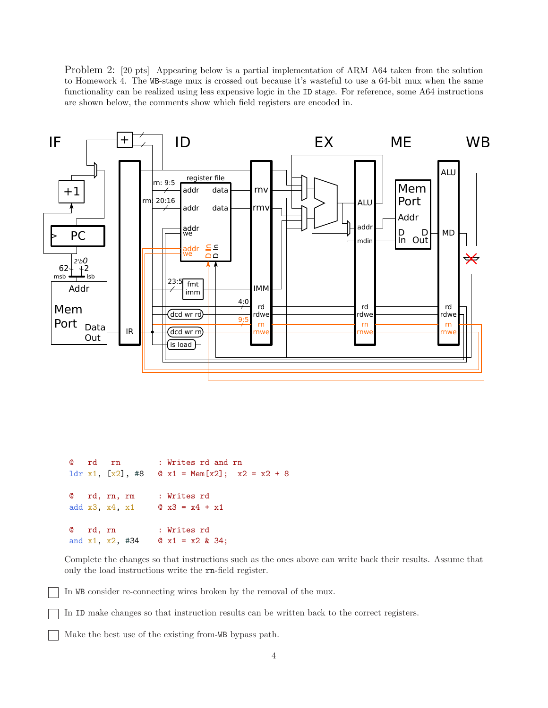Problem 2: [20 pts] Appearing below is a partial implementation of ARM A64 taken from the solution to Homework 4. The WB-stage mux is crossed out because it's wasteful to use a 64-bit mux when the same functionality can be realized using less expensive logic in the ID stage. For reference, some A64 instructions are shown below, the comments show which field registers are encoded in.



```
@ rd rn : Writes rd and rn
ldr x1, [x2], #8 \infty x1 = Mem[x2]; x2 = x2 + 8
@ rd, rn, rm : Writes rd
add x3, x4, x1 \theta x3 = x4 + x1
@ rd, rn : Writes rd
and x1, x2, x34 @ x1 = x2 & 34;
```
Complete the changes so that instructions such as the ones above can write back their results. Assume that only the load instructions write the rn-field register.

In WB consider re-connecting wires broken by the removal of the mux.

In ID make changes so that instruction results can be written back to the correct registers.

Make the best use of the existing from-WB bypass path.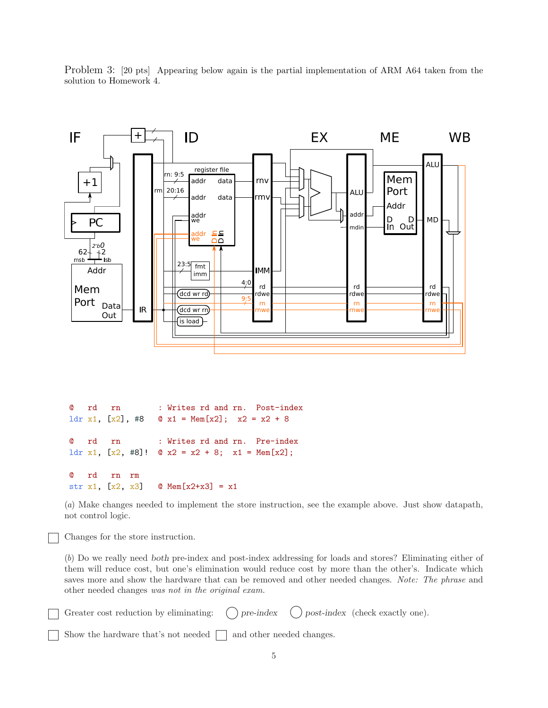Problem 3: [20 pts] Appearing below again is the partial implementation of ARM A64 taken from the solution to Homework 4.



@ rd rn : Writes rd and rn. Post-index 1dr x1,  $[x2]$ , #8  $\infty$  x1 = Mem $[x2]$ ; x2 = x2 + 8 @ rd rn : Writes rd and rn. Pre-index ldr x1,  $[x2, #8]!$   $@x2 = x2 + 8;$   $x1 = \text{Mem}[x2];$ @ rd rn rm str x1,  $[x2, x3]$  @ Mem $[x2+x3] = x1$ 

(*a*) Make changes needed to implement the store instruction, see the example above. Just show datapath, not control logic.

Changes for the store instruction.

(*b*) Do we really need both pre-index and post-index addressing for loads and stores? Eliminating either of them will reduce cost, but one's elimination would reduce cost by more than the other's. Indicate which saves more and show the hardware that can be removed and other needed changes. *Note: The phrase* and other needed changes *was not in the original exam.*

| $\Box$ Greater cost reduction by eliminating: $\bigcirc$ pre-index $\bigcirc$ post-index (check exactly one). |  |  |  |  |
|---------------------------------------------------------------------------------------------------------------|--|--|--|--|
| $\Box$ Show the hardware that's not needed $\Box$ and other needed changes.                                   |  |  |  |  |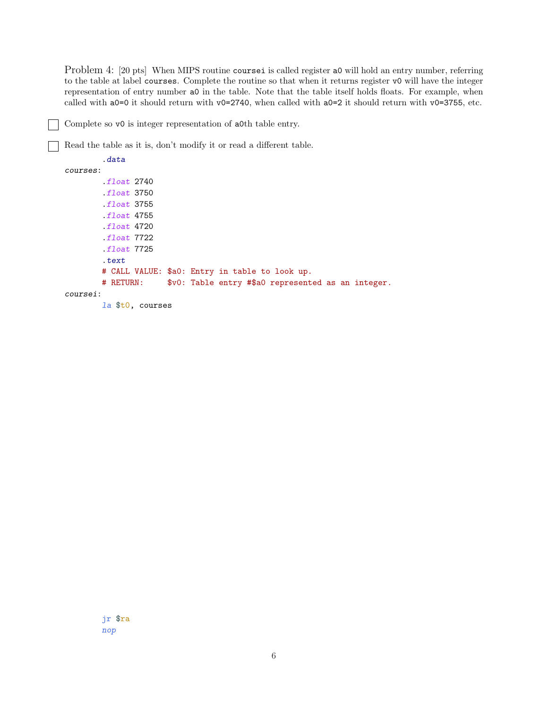Problem 4: [20 pts] When MIPS routine coursei is called register a0 will hold an entry number, referring to the table at label courses. Complete the routine so that when it returns register v0 will have the integer representation of entry number a0 in the table. Note that the table itself holds floats. For example, when called with a0=0 it should return with v0=2740, when called with a0=2 it should return with v0=3755, etc.

Complete so v0 is integer representation of a0th table entry.

Read the table as it is, don't modify it or read a different table.

.data courses: .float 2740 .float 3750 .float 3755 .float 4755 .float 4720 .float 7722 .float 7725 .text # CALL VALUE: \$a0: Entry in table to look up. # RETURN: \$v0: Table entry #\$a0 represented as an integer. coursei: la \$t0, courses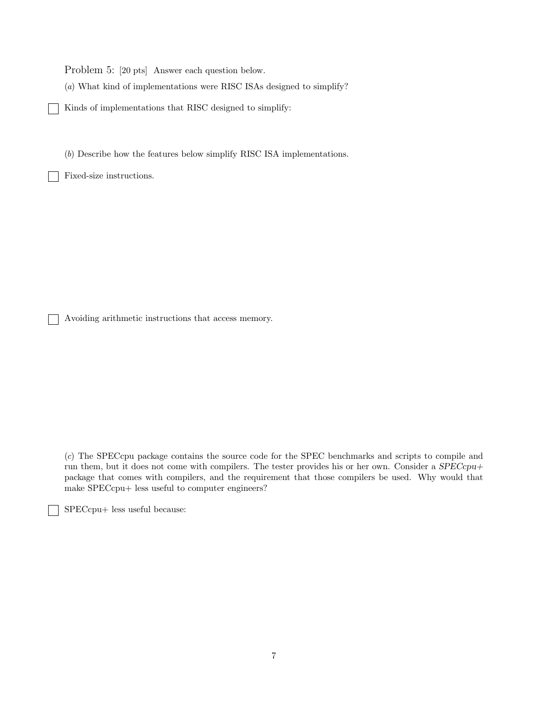Problem 5: [20 pts] Answer each question below.

(*a*) What kind of implementations were RISC ISAs designed to simplify?

Kinds of implementations that RISC designed to simplify:

(*b*) Describe how the features below simplify RISC ISA implementations.

Fixed-size instructions.

Avoiding arithmetic instructions that access memory.

(*c*) The SPECcpu package contains the source code for the SPEC benchmarks and scripts to compile and run them, but it does not come with compilers. The tester provides his or her own. Consider a  $SPECcpu+$ package that comes with compilers, and the requirement that those compilers be used. Why would that make SPECcpu+ less useful to computer engineers?

SPECcpu+ less useful because: